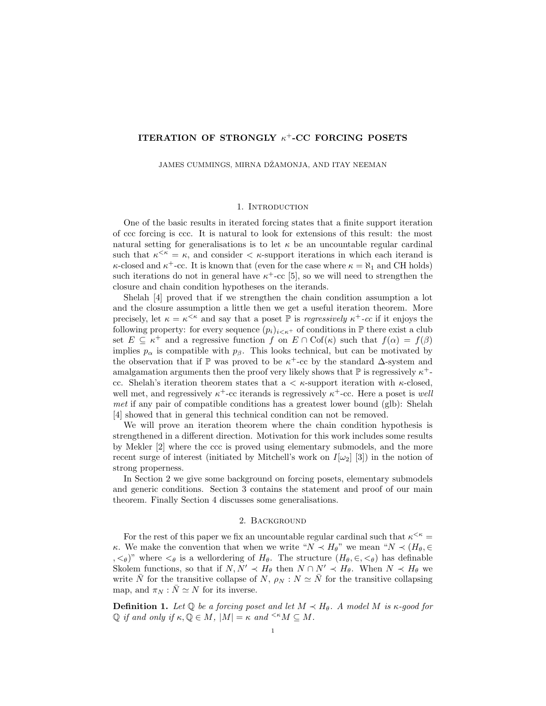# ITERATION OF STRONGLY  $\kappa^+$ -CC FORCING POSETS

JAMES CUMMINGS, MIRNA DŽAMONJA, AND ITAY NEEMAN

#### 1. INTRODUCTION

One of the basic results in iterated forcing states that a finite support iteration of ccc forcing is ccc. It is natural to look for extensions of this result: the most natural setting for generalisations is to let  $\kappa$  be an uncountable regular cardinal such that  $\kappa^{\leq \kappa} = \kappa$ , and consider  $\leq \kappa$ -support iterations in which each iterand is  $\kappa$ -closed and  $\kappa$ <sup>+</sup>-cc. It is known that (even for the case where  $\kappa = \aleph_1$  and CH holds) such iterations do not in general have  $\kappa^+$ -cc [5], so we will need to strengthen the closure and chain condition hypotheses on the iterands.

Shelah [4] proved that if we strengthen the chain condition assumption a lot and the closure assumption a little then we get a useful iteration theorem. More precisely, let  $\kappa = \kappa^{\leq \kappa}$  and say that a poset  $\mathbb P$  is *regressively*  $\kappa^+$ -cc if it enjoys the following property: for every sequence  $(p_i)_{i \leq \kappa^+}$  of conditions in  $\mathbb P$  there exist a club set  $E \subseteq \kappa^+$  and a regressive function f on  $E \cap \text{Cof}(\kappa)$  such that  $f(\alpha) = f(\beta)$ implies  $p_{\alpha}$  is compatible with  $p_{\beta}$ . This looks technical, but can be motivated by the observation that if  $\mathbb P$  was proved to be  $\kappa^+$ -cc by the standard  $\Delta$ -system and amalgamation arguments then the proof very likely shows that  $\mathbb P$  is regressively  $\kappa^+$ cc. Shelah's iteration theorem states that  $a < \kappa$ -support iteration with  $\kappa$ -closed, well met, and regressively  $\kappa^+$ -cc iterands is regressively  $\kappa^+$ -cc. Here a poset is well met if any pair of compatible conditions has a greatest lower bound (glb): Shelah [4] showed that in general this technical condition can not be removed.

We will prove an iteration theorem where the chain condition hypothesis is strengthened in a different direction. Motivation for this work includes some results by Mekler [2] where the ccc is proved using elementary submodels, and the more recent surge of interest (initiated by Mitchell's work on  $I[\omega_2]$  [3]) in the notion of strong properness.

In Section 2 we give some background on forcing posets, elementary submodels and generic conditions. Section 3 contains the statement and proof of our main theorem. Finally Section 4 discusses some generalisations.

### 2. Background

For the rest of this paper we fix an uncountable regular cardinal such that  $\kappa^{\leq \kappa} =$ κ. We make the convention that when we write " $N \prec H_{\theta}$ " we mean " $N \prec (H_{\theta}, \in$  $, \langle \epsilon_{\theta} \rangle$ " where  $\langle \epsilon_{\theta} \rangle$  is a wellordering of  $H_{\theta}$ . The structure  $(H_{\theta}, \epsilon, \langle \epsilon_{\theta} \rangle)$  has definable Skolem functions, so that if  $N, N' \prec H_{\theta}$  then  $N \cap N' \prec H_{\theta}$ . When  $N \prec H_{\theta}$  we write  $\bar{N}$  for the transitive collapse of  $N$ ,  $\rho_N : N \simeq \bar{N}$  for the transitive collapsing map, and  $\pi_N : N \simeq N$  for its inverse.

**Definition 1.** Let  $\mathbb{Q}$  be a forcing poset and let  $M \prec H_{\theta}$ . A model M is  $\kappa$ -good for  $\mathbb Q$  if and only if  $\kappa, \mathbb Q \in M$ ,  $|M| = \kappa$  and  $\leq \kappa M \subseteq M$ .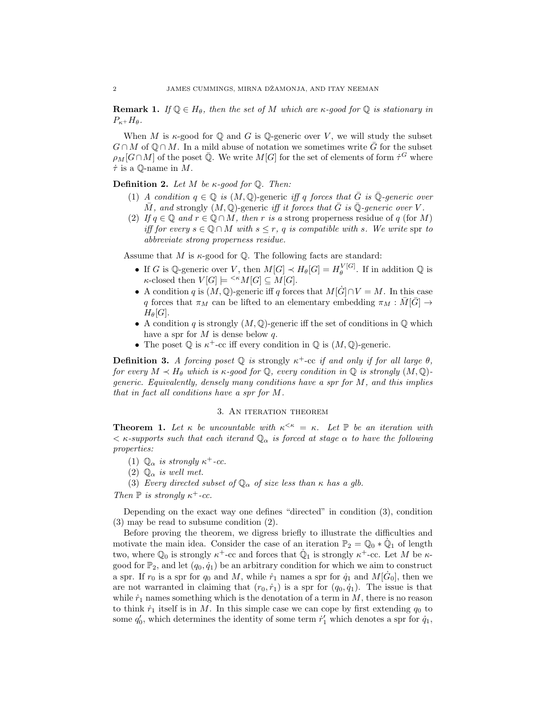**Remark 1.** If  $\mathbb{Q} \in H_{\theta}$ , then the set of M which are  $\kappa$ -good for  $\mathbb{Q}$  is stationary in  $P_{\kappa}$ + $H_{\theta}$ .

When M is  $\kappa$ -good for  $\mathbb Q$  and G is  $\mathbb Q$ -generic over V, we will study the subset  $G \cap M$  of  $\mathbb{Q} \cap M$ . In a mild abuse of notation we sometimes write  $\overline{G}$  for the subset  $\rho_M[G \cap M]$  of the poset  $\overline{\mathbb{Q}}$ . We write  $M[G]$  for the set of elements of form  $\dot{\tau}^G$  where  $\dot{\tau}$  is a Q-name in M.

## **Definition 2.** Let M be  $\kappa$ -good for Q. Then:

- (1) A condition  $q \in \mathbb{Q}$  is  $(M, \mathbb{Q})$ -generic iff q forces that  $\overline{G}$  is  $\overline{\mathbb{Q}}$ -generic over  $\overline{M}$ , and strongly  $(M, \mathbb{Q})$ -generic *iff it forces that*  $\overline{G}$  *is*  $\overline{\mathbb{Q}}$ -generic over V.
- (2) If  $q \in \mathbb{Q}$  and  $r \in \mathbb{Q} \cap M$ , then r is a strong properness residue of q (for M) iff for every  $s \in \mathbb{Q} \cap M$  with  $s \leq r$ , q is compatible with s. We write spr to abbreviate strong properness residue.

Assume that M is  $\kappa$ -good for  $\mathbb Q$ . The following facts are standard:

- If G is Q-generic over V, then  $M[G] \prec H_{\theta}[G] = H_{\theta}^{V[G]}$  $\mathcal{C}_{\theta}^{[V[G]]}$ . If in addition  $\mathbb{Q}$  is  $\kappa$ -closed then  $V[G] \models \leq K K[G] \subseteq M[G]$ .
- A condition q is  $(M, \mathbb{Q})$ -generic iff q forces that  $M[\dot{G}] \cap V = M$ . In this case q forces that  $\pi_M$  can be lifted to an elementary embedding  $\pi_M : M[G] \to$  $H_{\theta}[G].$
- A condition q is strongly  $(M, \mathbb{Q})$ -generic iff the set of conditions in  $\mathbb{Q}$  which have a spr for  $M$  is dense below  $q$ .
- The poset  $\mathbb Q$  is  $\kappa^+$ -cc iff every condition in  $\mathbb Q$  is  $(M, \mathbb Q)$ -generic.

**Definition 3.** A forcing poset  $\mathbb Q$  is strongly  $\kappa^+$ -cc if and only if for all large  $\theta$ , for every  $M \prec H_{\theta}$  which is  $\kappa$ -good for  $\mathbb{Q}$ , every condition in  $\mathbb{Q}$  is strongly  $(M, \mathbb{Q})$ generic. Equivalently, densely many conditions have a spr for M, and this implies that in fact all conditions have a spr for M.

# 3. An iteration theorem

**Theorem 1.** Let  $\kappa$  be uncountable with  $\kappa^{\leq \kappa} = \kappa$ . Let  $\mathbb{P}$  be an iteration with  $\langle \kappa$ -supports such that each iterand  $\mathbb{Q}_{\alpha}$  is forced at stage  $\alpha$  to have the following properties:

- (1)  $\mathbb{Q}_{\alpha}$  is strongly  $\kappa^{+}$ -cc.
- (2)  $\mathbb{Q}_{\alpha}$  is well met.
- (3) Every directed subset of  $\mathbb{Q}_{\alpha}$  of size less than  $\kappa$  has a glb.

Then  $\mathbb P$  is strongly  $\kappa^+$ -cc.

Depending on the exact way one defines "directed" in condition (3), condition (3) may be read to subsume condition (2).

Before proving the theorem, we digress briefly to illustrate the difficulties and motivate the main idea. Consider the case of an iteration  $\mathbb{P}_2 = \mathbb{Q}_0 * \dot{\mathbb{Q}}_1$  of length two, where  $\mathbb{Q}_0$  is strongly  $\kappa^+$ -cc and forces that  $\dot{\mathbb{Q}}_1$  is strongly  $\kappa^+$ -cc. Let M be  $\kappa$ good for  $\mathbb{P}_2$ , and let  $(q_0, \dot{q}_1)$  be an arbitrary condition for which we aim to construct a spr. If  $r_0$  is a spr for  $q_0$  and M, while  $\dot{r}_1$  names a spr for  $\dot{q}_1$  and  $M[\dot{G}_0]$ , then we are not warranted in claiming that  $(r_0, \dot{r}_1)$  is a spr for  $(q_0, \dot{q}_1)$ . The issue is that while  $\dot{r}_1$  names something which is the denotation of a term in  $M$ , there is no reason to think  $\dot{r}_1$  itself is in M. In this simple case we can cope by first extending  $q_0$  to some  $q'_0$ , which determines the identity of some term  $\dot{r}'_1$  which denotes a spr for  $\dot{q}_1$ ,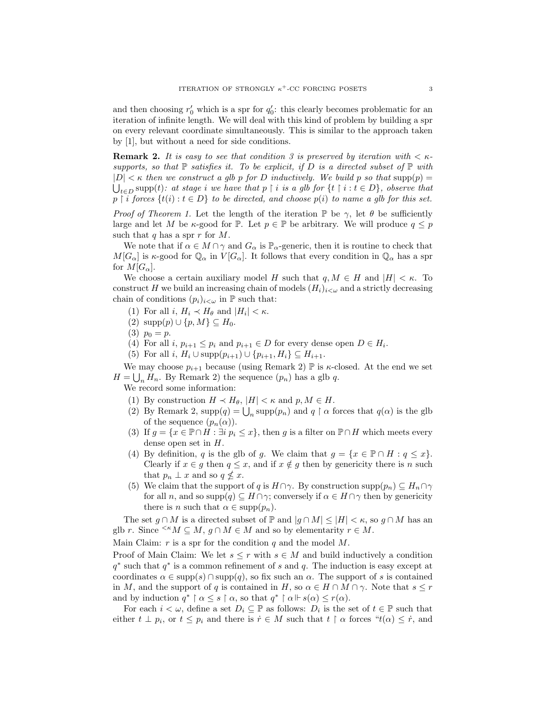and then choosing  $r'_0$  which is a spr for  $q'_0$ : this clearly becomes problematic for an iteration of infinite length. We will deal with this kind of problem by building a spr on every relevant coordinate simultaneously. This is similar to the approach taken by [1], but without a need for side conditions.

**Remark 2.** It is easy to see that condition 3 is preserved by iteration with  $\lt \kappa$ supports, so that  $\mathbb P$  satisfies it. To be explicit, if D is a directed subset of  $\mathbb P$  with  $|D| < \kappa$  then we construct a glb p for D inductively. We build p so that supp $(p)$  $\bigcup_{t\in D} \text{supp}(t)$ : at stage i we have that  $p \restriction i$  is a glb for  $\{t \restriction i : t \in D\}$ , observe that  $p \restriction i$  forces  $\{t(i) : t \in D\}$  to be directed, and choose  $p(i)$  to name a glb for this set.

*Proof of Theorem 1.* Let the length of the iteration  $\mathbb{P}$  be  $\gamma$ , let  $\theta$  be sufficiently large and let M be  $\kappa$ -good for P. Let  $p \in \mathbb{P}$  be arbitrary. We will produce  $q \leq p$ such that q has a spr  $r$  for  $M$ .

We note that if  $\alpha \in M \cap \gamma$  and  $G_{\alpha}$  is  $\mathbb{P}_{\alpha}$ -generic, then it is routine to check that  $M[G_\alpha]$  is  $\kappa$ -good for  $\mathbb{Q}_\alpha$  in  $V[G_\alpha]$ . It follows that every condition in  $\mathbb{Q}_\alpha$  has a spr for  $M[G_\alpha]$ .

We choose a certain auxiliary model H such that  $q, M \in H$  and  $|H| < \kappa$ . To construct H we build an increasing chain of models  $(H_i)_{i<\omega}$  and a strictly decreasing chain of conditions  $(p_i)_{i \lt \omega}$  in  $\mathbb P$  such that:

- (1) For all  $i, H_i \prec H_\theta$  and  $|H_i| < \kappa$ .
- (2)  $\text{supp}(p) \cup \{p, M\} \subseteq H_0$ .
- (3)  $p_0 = p$ .
- (4) For all  $i, p_{i+1} \leq p_i$  and  $p_{i+1} \in D$  for every dense open  $D \in H_i$ .
- (5) For all  $i, H_i \cup \text{supp}(p_{i+1}) \cup \{p_{i+1}, H_i\} \subseteq H_{i+1}.$

We may choose  $p_{i+1}$  because (using Remark 2)  $\mathbb P$  is  $\kappa$ -closed. At the end we set  $H = \bigcup_n H_n$ . By Remark 2) the sequence  $(p_n)$  has a glb q.

We record some information:

- (1) By construction  $H \prec H_{\theta}$ ,  $|H| \prec \kappa$  and  $p, M \in H$ .
- (2) By Remark 2,  $\text{supp}(q) = \bigcup_n \text{supp}(p_n)$  and  $q \restriction \alpha$  forces that  $q(\alpha)$  is the glb of the sequence  $(p_n(\alpha))$ .
- (3) If  $g = \{x \in \mathbb{P} \cap H : \exists i \ p_i \leq x\}$ , then g is a filter on  $\mathbb{P} \cap H$  which meets every dense open set in  $H$ .
- (4) By definition, q is the glb of g. We claim that  $g = \{x \in \mathbb{P} \cap H : q \leq x\}.$ Clearly if  $x \in g$  then  $q \leq x$ , and if  $x \notin g$  then by genericity there is n such that  $p_n \perp x$  and so  $q \nleq x$ .
- (5) We claim that the support of q is  $H \cap \gamma$ . By construction supp $(p_n) \subseteq H_n \cap \gamma$ for all n, and so supp $(q) \subseteq H \cap \gamma$ ; conversely if  $\alpha \in H \cap \gamma$  then by genericity there is *n* such that  $\alpha \in \text{supp}(p_n)$ .

The set  $g \cap M$  is a directed subset of  $\mathbb{P}$  and  $|g \cap M| \leq |H| < \kappa$ , so  $g \cap M$  has an glb r. Since  $\leq K M \subseteq M$ ,  $g \cap M \in M$  and so by elementarity  $r \in M$ .

Main Claim:  $r$  is a spr for the condition  $q$  and the model  $M$ .

Proof of Main Claim: We let  $s \leq r$  with  $s \in M$  and build inductively a condition  $q^*$  such that  $q^*$  is a common refinement of s and q. The induction is easy except at coordinates  $\alpha \in \text{supp}(s) \cap \text{supp}(q)$ , so fix such an  $\alpha$ . The support of s is contained in M, and the support of q is contained in H, so  $\alpha \in H \cap M \cap \gamma$ . Note that  $s \leq r$ and by induction  $q^* \upharpoonright \alpha \leq s \upharpoonright \alpha$ , so that  $q^* \upharpoonright \alpha \Vdash s(\alpha) \leq r(\alpha)$ .

For each  $i < \omega$ , define a set  $D_i \subseteq \mathbb{P}$  as follows:  $D_i$  is the set of  $t \in \mathbb{P}$  such that either  $t \perp p_i$ , or  $t \leq p_i$  and there is  $\dot{r} \in M$  such that  $t \restriction \alpha$  forces " $t(\alpha) \leq \dot{r}$ , and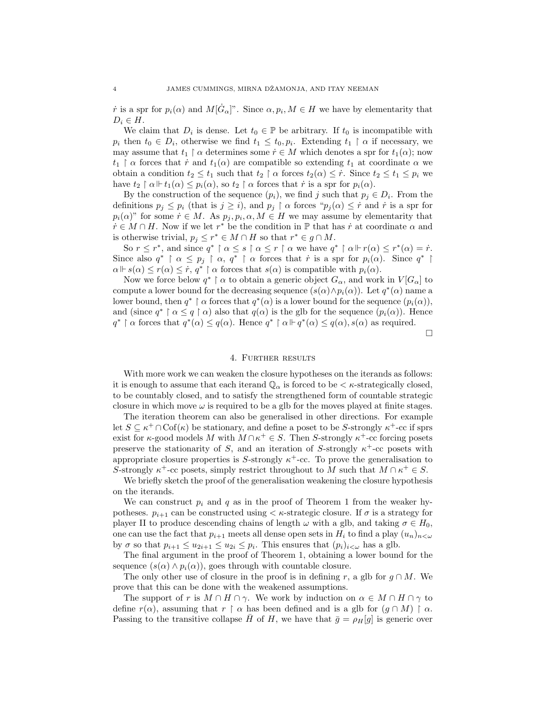*r* is a spr for  $p_i(\alpha)$  and  $M[\dot{G}_{\alpha}]$ ". Since  $\alpha, p_i, M \in H$  we have by elementarity that  $D_i \in H$ .

We claim that  $D_i$  is dense. Let  $t_0 \in \mathbb{P}$  be arbitrary. If  $t_0$  is incompatible with  $p_i$  then  $t_0 \in D_i$ , otherwise we find  $t_1 \leq t_0, p_i$ . Extending  $t_1 \restriction \alpha$  if necessary, we may assume that  $t_1 \restriction \alpha$  determines some  $\dot{r} \in M$  which denotes a spr for  $t_1(\alpha)$ ; now  $t_1 \restriction \alpha$  forces that  $\dot{r}$  and  $t_1(\alpha)$  are compatible so extending  $t_1$  at coordinate  $\alpha$  we obtain a condition  $t_2 \leq t_1$  such that  $t_2 \restriction \alpha$  forces  $t_2(\alpha) \leq \dot{r}$ . Since  $t_2 \leq t_1 \leq p_i$  we have  $t_2 \restriction \alpha \Vdash t_1(\alpha) \leq p_i(\alpha)$ , so  $t_2 \restriction \alpha$  forces that  $\dot{r}$  is a spr for  $p_i(\alpha)$ .

By the construction of the sequence  $(p_i)$ , we find j such that  $p_j \in D_i$ . From the definitions  $p_j \leq p_i$  (that is  $j \geq i$ ), and  $p_j \upharpoonright \alpha$  forces " $p_j(\alpha) \leq r$  and  $\dot{r}$  is a spr for  $p_i(\alpha)$ " for some  $\dot{r} \in M$ . As  $p_j, p_i, \alpha, M \in H$  we may assume by elementarity that  $\dot{r} \in M \cap H$ . Now if we let  $r^*$  be the condition in  $\mathbb P$  that has  $\dot{r}$  at coordinate  $\alpha$  and is otherwise trivial,  $p_j \leq r^* \in M \cap H$  so that  $r^* \in g \cap M$ .

So  $r \leq r^*$ , and since  $q^* \restriction \alpha \leq s \restriction \alpha \leq r \restriction \alpha$  we have  $q^* \restriction \alpha \Vdash r(\alpha) \leq r^*(\alpha) = r$ . Since also  $q^* \restriction \alpha \leq p_j \restriction \alpha$ ,  $q^* \restriction \alpha$  forces that  $\dot{r}$  is a spr for  $p_i(\alpha)$ . Since  $q^* \restriction \alpha$  $\alpha \Vdash s(\alpha) \leq r(\alpha) \leq \dot{r}, q^* \upharpoonright \alpha$  forces that  $s(\alpha)$  is compatible with  $p_i(\alpha)$ .

Now we force below  $q^* \upharpoonright \alpha$  to obtain a generic object  $G_{\alpha}$ , and work in  $V[G_{\alpha}]$  to compute a lower bound for the decreasing sequence  $(s(\alpha) \wedge p_i(\alpha))$ . Let  $q^*(\alpha)$  name a lower bound, then  $q^* \restriction \alpha$  forces that  $q^*(\alpha)$  is a lower bound for the sequence  $(p_i(\alpha))$ , and (since  $q^* \upharpoonright \alpha \leq q \upharpoonright \alpha$ ) also that  $q(\alpha)$  is the glb for the sequence  $(p_i(\alpha))$ . Hence  $q^*$   $\upharpoonright \alpha$  forces that  $q^*(\alpha) \leq q(\alpha)$ . Hence  $q^*$   $\upharpoonright \alpha \Vdash q^*(\alpha) \leq q(\alpha)$ ,  $s(\alpha)$  as required.

 $\Box$ 

### 4. Further results

With more work we can weaken the closure hypotheses on the iterands as follows: it is enough to assume that each iterand  $\mathbb{Q}_{\alpha}$  is forced to be  $\lt$   $\kappa$ -strategically closed, to be countably closed, and to satisfy the strengthened form of countable strategic closure in which move  $\omega$  is required to be a glb for the moves played at finite stages.

The iteration theorem can also be generalised in other directions. For example let  $S \subseteq \kappa^+ \cap \mathrm{Cof}(\kappa)$  be stationary, and define a poset to be S-strongly  $\kappa^+$ -cc if sprs exist for  $\kappa$ -good models M with  $M \cap \kappa^+ \in S$ . Then S-strongly  $\kappa^+$ -cc forcing posets preserve the stationarity of S, and an iteration of S-strongly  $\kappa^+$ -cc posets with appropriate closure properties is S-strongly  $\kappa^+$ -cc. To prove the generalisation to S-strongly  $\kappa^+$ -cc posets, simply restrict throughout to M such that  $M \cap \kappa^+ \in S$ .

We briefly sketch the proof of the generalisation weakening the closure hypothesis on the iterands.

We can construct  $p_i$  and q as in the proof of Theorem 1 from the weaker hypotheses.  $p_{i+1}$  can be constructed using  $\lt \kappa$ -strategic closure. If  $\sigma$  is a strategy for player II to produce descending chains of length  $\omega$  with a glb, and taking  $\sigma \in H_0$ , one can use the fact that  $p_{i+1}$  meets all dense open sets in  $H_i$  to find a play  $(u_n)_{n<\omega}$ by  $\sigma$  so that  $p_{i+1} \leq u_{2i+1} \leq u_{2i} \leq p_i$ . This ensures that  $(p_i)_{i \leq \omega}$  has a glb.

The final argument in the proof of Theorem 1, obtaining a lower bound for the sequence  $(s(\alpha) \wedge p_i(\alpha))$ , goes through with countable closure.

The only other use of closure in the proof is in defining r, a glb for  $g \cap M$ . We prove that this can be done with the weakened assumptions.

The support of r is  $M \cap H \cap \gamma$ . We work by induction on  $\alpha \in M \cap H \cap \gamma$  to define  $r(\alpha)$ , assuming that  $r \restriction \alpha$  has been defined and is a glb for  $(g \cap M) \restriction \alpha$ . Passing to the transitive collapse  $\bar{H}$  of H, we have that  $\bar{g} = \rho_H[g]$  is generic over